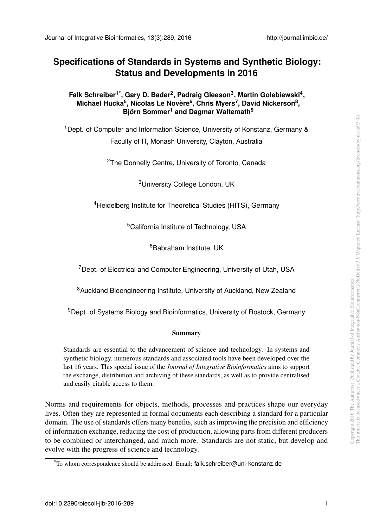## **Specifications of Standards in Systems and Synthetic Biology: Status and Developments in 2016**

## **Falk Schreiber[1](#page-0-0)[\\*](#page-0-1) , Gary D. Bader[2](#page-0-2) , Padraig Gleeson[3](#page-0-3) , Martin Golebiewski[4](#page-0-4) , Michael Hucka[5](#page-0-5) , Nicolas Le Novere ` [6](#page-0-6) , Chris Myers[7](#page-0-7) , David Nickerson[8](#page-0-8) , Bjorn ¨ Somm[er](#page-0-0)<sup>1</sup> and Dagmar Waltemath[9](#page-0-9)**

<span id="page-0-3"></span><span id="page-0-2"></span><span id="page-0-0"></span><sup>1</sup> Dept. of Computer and Information Science, University of Konstanz, Germany & Faculty of IT, Monash University, Clayton, Australia

<sup>2</sup>The Donnelly Centre, University of Toronto, Canada

<sup>3</sup>University College London, UK

<span id="page-0-5"></span><span id="page-0-4"></span><sup>4</sup>Heidelberg Institute for Theoretical Studies (HITS), Germany

<sup>5</sup>California Institute of Technology, USA

<sup>6</sup>Babraham Institute, UK

<span id="page-0-7"></span><span id="page-0-6"></span><sup>7</sup>Dept. of Electrical and Computer Engineering, University of Utah, USA

<span id="page-0-8"></span><sup>8</sup>Auckland Bioengineering Institute, University of Auckland, New Zealand

<span id="page-0-9"></span><sup>9</sup>Dept. of Systems Biology and Bioinformatics, University of Rostock, Germany

## Summary

Standards are essential to the advancement of science and technology. In systems and synthetic biology, numerous standards and associated tools have been developed over the last 16 years. This special issue of the *Journal of Integrative Bioinformatics* aims to support the exchange, distribution and archiving of these standards, as well as to provide centralised and easily citable access to them.

Norms and requirements for objects, methods, processes and practices shape our everyday lives. Often they are represented in formal documents each describing a standard for a particular domain. The use of standards offers many benefits, such as improving the precision and efficiency of information exchange, reducing the cost of production, allowing parts from different producers to be combined or interchanged, and much more. Standards are not static, but develop and evolve with the progress of science and technology.

<span id="page-0-1"></span><sup>\*</sup>To whom correspondence should be addressed. Email: falk.schreiber@uni-konstanz.de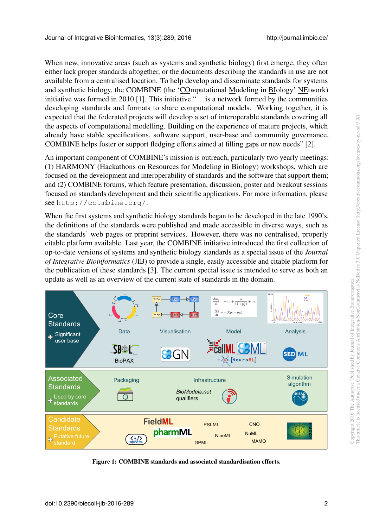When new, innovative areas (such as systems and synthetic biology) first emerge, they often either lack proper standards altogether, or the documents describing the standards in use are not available from a centralised location. To help develop and disseminate standards for systems and synthetic biology, the COMBINE (the 'COmputational Modeling in BIology' NEtwork) initiative was formed in 2010 [\[1\]](#page-4-0). This initiative ". . . is a network formed by the communities developing standards and formats to share computational models. Working together, it is expected that the federated projects will develop a set of interoperable standards covering all the aspects of computational modelling. Building on the experience of mature projects, which already have stable specifications, software support, user-base and community governance, COMBINE helps foster or support fledging efforts aimed at filling gaps or new needs" [\[2\]](#page-4-1).

An important component of COMBINE's mission is outreach, particularly two yearly meetings: (1) HARMONY (Hackathons on Resources for Modeling in Biology) workshops, which are focused on the development and interoperability of standards and the software that support them; and (2) COMBINE forums, which feature presentation, discussion, poster and breakout sessions focused on standards development and their scientific applications. For more information, please see <http://co.mbine.org/>.

When the first systems and synthetic biology standards began to be developed in the late 1990's, the definitions of the standards were published and made accessible in diverse ways, such as the standards' web pages or preprint services. However, there was no centralised, properly citable platform available. Last year, the COMBINE initiative introduced the first collection of up-to-date versions of systems and synthetic biology standards as a special issue of the *Journal of Integrative Bioinformatics* (JIB) to provide a single, easily accessible and citable platform for the publication of these standards [\[3\]](#page-4-2). The current special issue is intended to serve as both an update as well as an overview of the current state of standards in the domain.

<span id="page-1-0"></span>

Figure 1: COMBINE standards and associated standardisation efforts.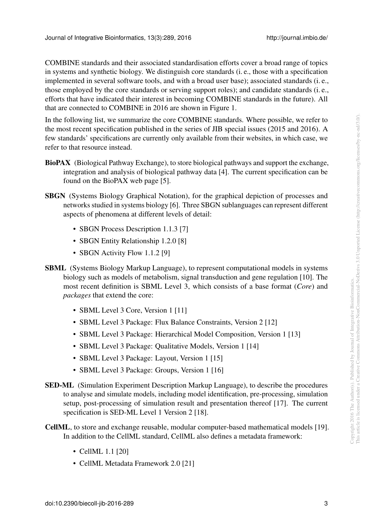COMBINE standards and their associated standardisation efforts cover a broad range of topics in systems and synthetic biology. We distinguish core standards (i. e., those with a specification implemented in several software tools, and with a broad user base); associated standards (i. e., those employed by the core standards or serving support roles); and candidate standards (i. e., efforts that have indicated their interest in becoming COMBINE standards in the future). All that are connected to COMBINE in 2016 are shown in Figure [1.](#page-1-0)

In the following list, we summarize the core COMBINE standards. Where possible, we refer to the most recent specification published in the series of JIB special issues (2015 and 2016). A few standards' specifications are currently only available from their websites, in which case, we refer to that resource instead.

- BioPAX (Biological Pathway Exchange), to store biological pathways and support the exchange, integration and analysis of biological pathway data [\[4\]](#page-4-3). The current specification can be found on the BioPAX web page [\[5\]](#page-4-4).
- SBGN (Systems Biology Graphical Notation), for the graphical depiction of processes and networks studied in systems biology [\[6\]](#page-4-5). Three SBGN sublanguages can represent different aspects of phenomena at different levels of detail:
	- SBGN Process Description 1.1.3 [\[7\]](#page-4-6)
	- SBGN Entity Relationship 1.2.0 [\[8\]](#page-4-7)
	- SBGN Activity Flow 1.1.2 [\[9\]](#page-4-8)
- SBML (Systems Biology Markup Language), to represent computational models in systems biology such as models of metabolism, signal transduction and gene regulation [\[10\]](#page-4-9). The most recent definition is SBML Level 3, which consists of a base format (*Core*) and *packages* that extend the core:
	- SBML Level 3 Core, Version 1 [\[11\]](#page-4-10)
	- SBML Level 3 Package: Flux Balance Constraints, Version 2 [\[12\]](#page-4-11)
	- SBML Level 3 Package: Hierarchical Model Composition, Version 1 [\[13\]](#page-4-12)
	- SBML Level 3 Package: Qualitative Models, Version 1 [\[14\]](#page-5-0)
	- SBML Level 3 Package: Layout, Version 1 [\[15\]](#page-5-1)
	- SBML Level 3 Package: Groups, Version 1 [\[16\]](#page-5-2)
- SED-ML (Simulation Experiment Description Markup Language), to describe the procedures to analyse and simulate models, including model identification, pre-processing, simulation setup, post-processing of simulation result and presentation thereof [\[17\]](#page-5-3). The current specification is SED-ML Level 1 Version 2 [\[18\]](#page-5-4).
- CellML, to store and exchange reusable, modular computer-based mathematical models [\[19\]](#page-5-5). In addition to the CellML standard, CellML also defines a metadata framework:
	- CellML 1.1 [\[20\]](#page-5-6)
	- CellML Metadata Framework 2.0 [\[21\]](#page-5-7)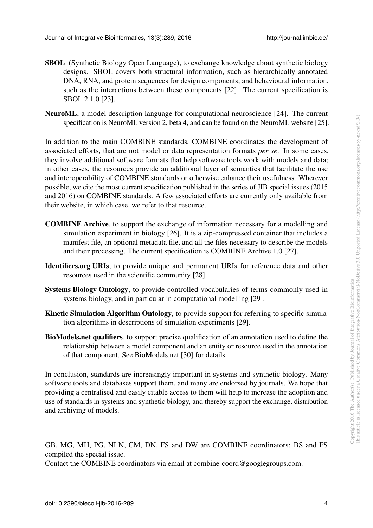- SBOL (Synthetic Biology Open Language), to exchange knowledge about synthetic biology designs. SBOL covers both structural information, such as hierarchically annotated DNA, RNA, and protein sequences for design components; and behavioural information, such as the interactions between these components [\[22\]](#page-5-8). The current specification is SBOL 2.1.0 [\[23\]](#page-5-9).
- NeuroML, a model description language for computational neuroscience [\[24\]](#page-5-10). The current specification is NeuroML version 2, beta 4, and can be found on the NeuroML website [\[25\]](#page-5-11).

In addition to the main COMBINE standards, COMBINE coordinates the development of associated efforts, that are not model or data representation formats *per se*. In some cases, they involve additional software formats that help software tools work with models and data; in other cases, the resources provide an additional layer of semantics that facilitate the use and interoperability of COMBINE standards or otherwise enhance their usefulness. Wherever possible, we cite the most current specification published in the series of JIB special issues (2015 and 2016) on COMBINE standards. A few associated efforts are currently only available from their website, in which case, we refer to that resource.

- COMBINE Archive, to support the exchange of information necessary for a modelling and simulation experiment in biology [\[26\]](#page-5-12). It is a zip-compressed container that includes a manifest file, an optional metadata file, and all the files necessary to describe the models and their processing. The current specification is COMBINE Archive 1.0 [\[27\]](#page-5-13).
- Identifiers.org URIs, to provide unique and permanent URIs for reference data and other resources used in the scientific community [\[28\]](#page-6-0).
- Systems Biology Ontology, to provide controlled vocabularies of terms commonly used in systems biology, and in particular in computational modelling [\[29\]](#page-6-1).
- Kinetic Simulation Algorithm Ontology, to provide support for referring to specific simulation algorithms in descriptions of simulation experiments [\[29\]](#page-6-1).
- BioModels.net qualifiers, to support precise qualification of an annotation used to define the relationship between a model component and an entity or resource used in the annotation of that component. See BioModels.net [\[30\]](#page-6-2) for details.

In conclusion, standards are increasingly important in systems and synthetic biology. Many software tools and databases support them, and many are endorsed by journals. We hope that providing a centralised and easily citable access to them will help to increase the adoption and use of standards in systems and synthetic biology, and thereby support the exchange, distribution and archiving of models.

GB, MG, MH, PG, NLN, CM, DN, FS and DW are COMBINE coordinators; BS and FS compiled the special issue.

Contact the COMBINE coordinators via email at combine-coord@googlegroups.com.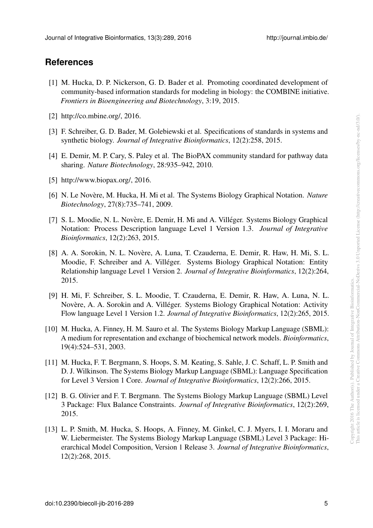## **References**

- <span id="page-4-0"></span>[1] M. Hucka, D. P. Nickerson, G. D. Bader et al. Promoting coordinated development of community-based information standards for modeling in biology: the COMBINE initiative. *Frontiers in Bioengineering and Biotechnology*, 3:19, 2015.
- <span id="page-4-1"></span>[2] http://co.mbine.org/, 2016.
- <span id="page-4-2"></span>[3] F. Schreiber, G. D. Bader, M. Golebiewski et al. Specifications of standards in systems and synthetic biology. *Journal of Integrative Bioinformatics*, 12(2):258, 2015.
- <span id="page-4-3"></span>[4] E. Demir, M. P. Cary, S. Paley et al. The BioPAX community standard for pathway data sharing. *Nature Biotechnology*, 28:935–942, 2010.
- <span id="page-4-4"></span>[5] http://www.biopax.org/, 2016.
- <span id="page-4-5"></span>[6] N. Le Novère, M. Hucka, H. Mi et al. The Systems Biology Graphical Notation. Nature *Biotechnology*, 27(8):735–741, 2009.
- <span id="page-4-6"></span>[7] S. L. Moodie, N. L. Novère, E. Demir, H. Mi and A. Villéger. Systems Biology Graphical Notation: Process Description language Level 1 Version 1.3. *Journal of Integrative Bioinformatics*, 12(2):263, 2015.
- <span id="page-4-7"></span>[8] A. A. Sorokin, N. L. Novère, A. Luna, T. Czauderna, E. Demir, R. Haw, H. Mi, S. L. Moodie, F. Schreiber and A. Villéger. Systems Biology Graphical Notation: Entity Relationship language Level 1 Version 2. *Journal of Integrative Bioinformatics*, 12(2):264, 2015.
- <span id="page-4-8"></span>[9] H. Mi, F. Schreiber, S. L. Moodie, T. Czauderna, E. Demir, R. Haw, A. Luna, N. L. Novère, A. A. Sorokin and A. Villéger. Systems Biology Graphical Notation: Activity Flow language Level 1 Version 1.2. *Journal of Integrative Bioinformatics*, 12(2):265, 2015.
- <span id="page-4-9"></span>[10] M. Hucka, A. Finney, H. M. Sauro et al. The Systems Biology Markup Language (SBML): A medium for representation and exchange of biochemical network models. *Bioinformatics*, 19(4):524–531, 2003.
- <span id="page-4-10"></span>[11] M. Hucka, F. T. Bergmann, S. Hoops, S. M. Keating, S. Sahle, J. C. Schaff, L. P. Smith and D. J. Wilkinson. The Systems Biology Markup Language (SBML): Language Specification for Level 3 Version 1 Core. *Journal of Integrative Bioinformatics*, 12(2):266, 2015.
- <span id="page-4-11"></span>[12] B. G. Olivier and F. T. Bergmann. The Systems Biology Markup Language (SBML) Level 3 Package: Flux Balance Constraints. *Journal of Integrative Bioinformatics*, 12(2):269, 2015.
- <span id="page-4-12"></span>[13] L. P. Smith, M. Hucka, S. Hoops, A. Finney, M. Ginkel, C. J. Myers, I. I. Moraru and W. Liebermeister. The Systems Biology Markup Language (SBML) Level 3 Package: Hierarchical Model Composition, Version 1 Release 3. *Journal of Integrative Bioinformatics*, 12(2):268, 2015.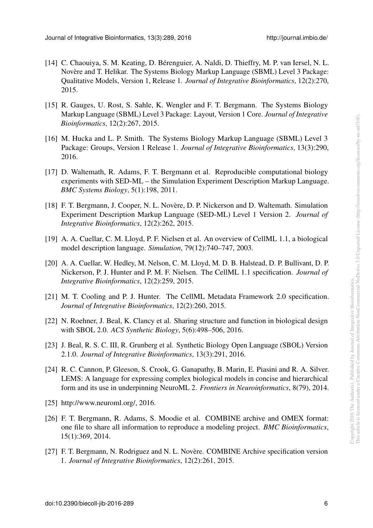- <span id="page-5-0"></span>[14] C. Chaouiya, S. M. Keating, D. Bérenguier, A. Naldi, D. Thieffry, M. P. van Iersel, N. L. Novère and T. Helikar. The Systems Biology Markup Language (SBML) Level 3 Package: Qualitative Models, Version 1, Release 1. *Journal of Integrative Bioinformatics*, 12(2):270, 2015.
- <span id="page-5-1"></span>[15] R. Gauges, U. Rost, S. Sahle, K. Wengler and F. T. Bergmann. The Systems Biology Markup Language (SBML) Level 3 Package: Layout, Version 1 Core. *Journal of Integrative Bioinformatics*, 12(2):267, 2015.
- <span id="page-5-2"></span>[16] M. Hucka and L. P. Smith. The Systems Biology Markup Language (SBML) Level 3 Package: Groups, Version 1 Release 1. *Journal of Integrative Bioinformatics*, 13(3):290, 2016.
- <span id="page-5-3"></span>[17] D. Waltemath, R. Adams, F. T. Bergmann et al. Reproducible computational biology experiments with SED-ML – the Simulation Experiment Description Markup Language. *BMC Systems Biology*, 5(1):198, 2011.
- <span id="page-5-4"></span>[18] F. T. Bergmann, J. Cooper, N. L. Novère, D. P. Nickerson and D. Waltemath. Simulation Experiment Description Markup Language (SED-ML) Level 1 Version 2. *Journal of Integrative Bioinformatics*, 12(2):262, 2015.
- <span id="page-5-5"></span>[19] A. A. Cuellar, C. M. Lloyd, P. F. Nielsen et al. An overview of CellML 1.1, a biological model description language. *Simulation*, 79(12):740–747, 2003.
- <span id="page-5-6"></span>[20] A. A. Cuellar, W. Hedley, M. Nelson, C. M. Lloyd, M. D. B. Halstead, D. P. Bullivant, D. P. Nickerson, P. J. Hunter and P. M. F. Nielsen. The CellML 1.1 specification. *Journal of Integrative Bioinformatics*, 12(2):259, 2015.
- <span id="page-5-7"></span>[21] M. T. Cooling and P. J. Hunter. The CellML Metadata Framework 2.0 specification. *Journal of Integrative Bioinformatics*, 12(2):260, 2015.
- <span id="page-5-8"></span>[22] N. Roehner, J. Beal, K. Clancy et al. Sharing structure and function in biological design with SBOL 2.0. *ACS Synthetic Biology*, 5(6):498–506, 2016.
- <span id="page-5-9"></span>[23] J. Beal, R. S. C. III, R. Grunberg et al. Synthetic Biology Open Language (SBOL) Version 2.1.0. *Journal of Integrative Bioinformatics*, 13(3):291, 2016.
- <span id="page-5-10"></span>[24] R. C. Cannon, P. Gleeson, S. Crook, G. Ganapathy, B. Marin, E. Piasini and R. A. Silver. LEMS: A language for expressing complex biological models in concise and hierarchical form and its use in underpinning NeuroML 2. *Frontiers in Neuroinformatics*, 8(79), 2014.
- <span id="page-5-11"></span>[25] http://www.neuroml.org/, 2016.
- <span id="page-5-12"></span>[26] F. T. Bergmann, R. Adams, S. Moodie et al. COMBINE archive and OMEX format: one file to share all information to reproduce a modeling project. *BMC Bioinformatics*, 15(1):369, 2014.
- <span id="page-5-13"></span>[27] F. T. Bergmann, N. Rodriguez and N. L. Novère. COMBINE Archive specification version 1. *Journal of Integrative Bioinformatics*, 12(2):261, 2015.